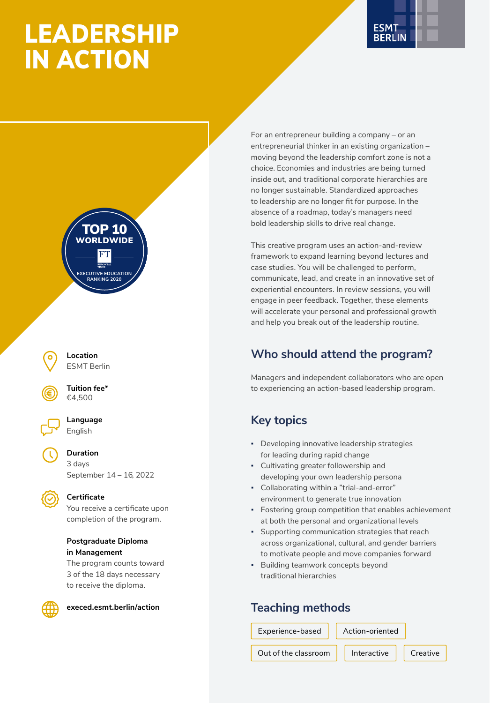# LEADERSHIP IN ACTION







**Tuition fee\*** €4,500



**Language** English

**Duration** 3 days September 14 – 16, 2022



### **Certificate**

You receive a certificate upon completion of the program.

#### **Postgraduate Diploma in Management**

The program counts toward 3 of the 18 days necessary to receive the diploma.



**[execed.esmt.berlin/action](https://execed.esmt.berlin/action)**

For an entrepreneur building a company – or an entrepreneurial thinker in an existing organization – moving beyond the leadership comfort zone is not a choice. Economies and industries are being turned inside out, and traditional corporate hierarchies are no longer sustainable. Standardized approaches to leadership are no longer fit for purpose. In the absence of a roadmap, today's managers need bold leadership skills to drive real change.

This creative program uses an action-and-review framework to expand learning beyond lectures and case studies. You will be challenged to perform, communicate, lead, and create in an innovative set of experiential encounters. In review sessions, you will engage in peer feedback. Together, these elements will accelerate your personal and professional growth and help you break out of the leadership routine.

### **Who should attend the program?**

Managers and independent collaborators who are open to experiencing an action-based leadership program.

### **Key topics**

- Developing innovative leadership strategies for leading during rapid change
- Cultivating greater followership and developing your own leadership persona
- Collaborating within a "trial-and-error" environment to generate true innovation
- Fostering group competition that enables achievement at both the personal and organizational levels
- Supporting communication strategies that reach across organizational, cultural, and gender barriers to motivate people and move companies forward
- Building teamwork concepts beyond traditional hierarchies

### **Teaching methods**

Experience-based

Action-oriented

Out of the classroom  $\parallel$  Interactive

Creative